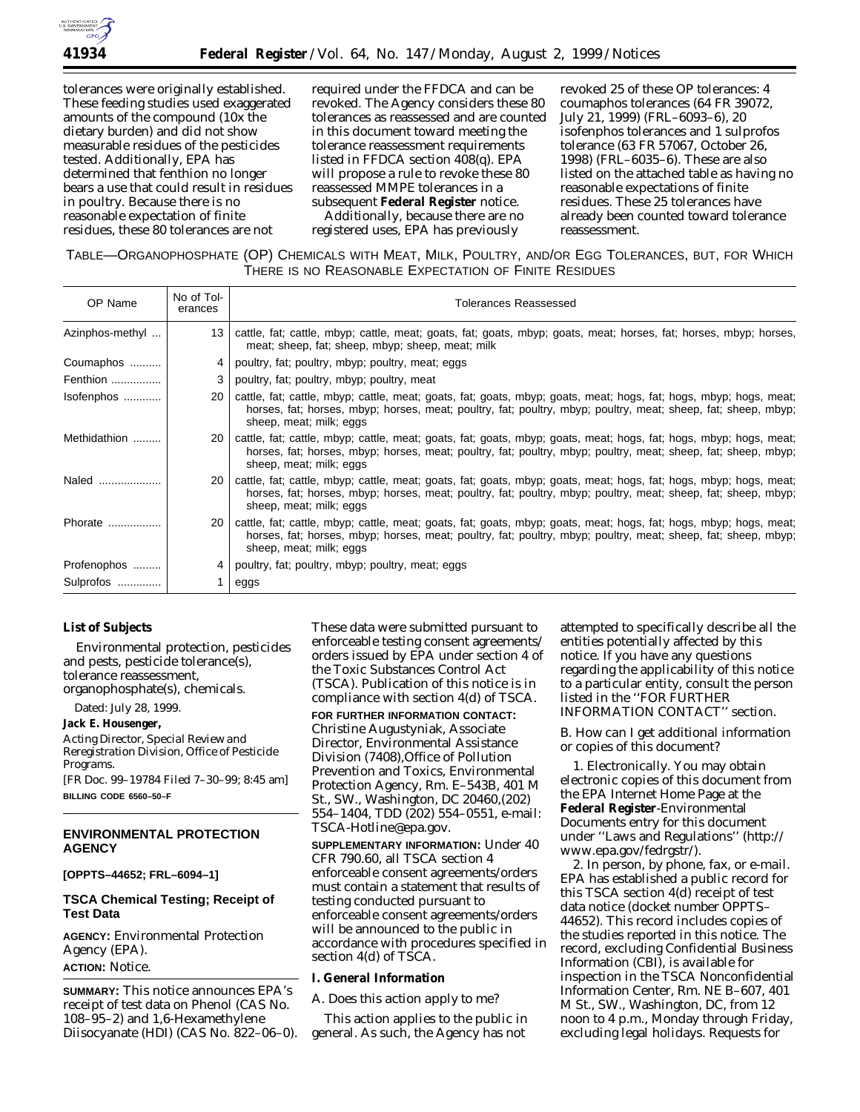

tolerances were originally established. These feeding studies used exaggerated amounts of the compound (10x the dietary burden) and did not show measurable residues of the pesticides tested. Additionally, EPA has determined that fenthion no longer bears a use that could result in residues in poultry. Because there is no reasonable expectation of finite residues, these 80 tolerances are not

required under the FFDCA and can be revoked. The Agency considers these 80 tolerances as reassessed and are counted in this document toward meeting the tolerance reassessment requirements listed in FFDCA section 408(q). EPA will propose a rule to revoke these 80 reassessed MMPE tolerances in a subsequent **Federal Register** notice.

Additionally, because there are no registered uses, EPA has previously

revoked 25 of these OP tolerances: 4 coumaphos tolerances (64 FR 39072, July 21, 1999) (FRL–6093–6), 20 isofenphos tolerances and 1 sulprofos tolerance (63 FR 57067, October 26, 1998) (FRL–6035–6). These are also listed on the attached table as having no reasonable expectations of finite residues. These 25 tolerances have already been counted toward tolerance reassessment.

TABLE—ORGANOPHOSPHATE (OP) CHEMICALS WITH MEAT, MILK, POULTRY, AND/OR EGG TOLERANCES, BUT, FOR WHICH THERE IS NO REASONABLE EXPECTATION OF FINITE RESIDUES

| OP Name         | No of Tol-<br>erances | <b>Tolerances Reassessed</b>                                                                                                                                                                                                                                  |
|-----------------|-----------------------|---------------------------------------------------------------------------------------------------------------------------------------------------------------------------------------------------------------------------------------------------------------|
| Azinphos-methyl | 13 <sup>1</sup>       | cattle, fat; cattle, mbyp; cattle, meat; goats, fat; goats, mbyp; goats, meat; horses, fat; horses, mbyp; horses,<br>meat; sheep, fat; sheep, mbyp; sheep, meat; milk                                                                                         |
| Coumaphos       | 4                     | poultry, fat; poultry, mbyp; poultry, meat; eggs                                                                                                                                                                                                              |
| Fenthion        | 3                     | poultry, fat; poultry, mbyp; poultry, meat                                                                                                                                                                                                                    |
| Isofenphos      | 20 <sub>1</sub>       | cattle, fat; cattle, mbyp; cattle, meat; goats, fat; goats, mbyp; goats, meat; hogs, fat; hogs, mbyp; hogs, meat;<br>horses, fat; horses, mbyp; horses, meat; poultry, fat; poultry, mbyp; poultry, meat; sheep, fat; sheep, mbyp;<br>sheep, meat; milk; eggs |
| Methidathion    | 20 <sub>1</sub>       | cattle, fat; cattle, mbyp; cattle, meat; goats, fat; goats, mbyp; goats, meat; hogs, fat; hogs, mbyp; hogs, meat;<br>horses, fat; horses, mbyp; horses, meat; poultry, fat; poultry, mbyp; poultry, meat; sheep, fat; sheep, mbyp;<br>sheep, meat; milk; eggs |
| Naled           | 20 <sub>1</sub>       | cattle, fat; cattle, mbyp; cattle, meat; goats, fat; goats, mbyp; goats, meat; hogs, fat; hogs, mbyp; hogs, meat;<br>horses, fat; horses, mbyp; horses, meat; poultry, fat; poultry, mbyp; poultry, meat; sheep, fat; sheep, mbyp;<br>sheep, meat; milk; eggs |
| Phorate         | 20 I                  | cattle, fat; cattle, mbyp; cattle, meat; goats, fat; goats, mbyp; goats, meat; hogs, fat; hogs, mbyp; hogs, meat;<br>horses, fat; horses, mbyp; horses, meat; poultry, fat; poultry, mbyp; poultry, meat; sheep, fat; sheep, mbyp;<br>sheep, meat; milk; eggs |
| Profenophos     | 4                     | poultry, fat; poultry, mbyp; poultry, meat; eggs                                                                                                                                                                                                              |
| Sulprofos       |                       | eggs                                                                                                                                                                                                                                                          |

## **List of Subjects**

Environmental protection, pesticides and pests, pesticide tolerance(s), tolerance reassessment, organophosphate(s), chemicals.

Dated: July 28, 1999.

#### **Jack E. Housenger,**

*Acting Director, Special Review and Reregistration Division, Office of Pesticide Programs.*

[FR Doc. 99–19784 Filed 7–30–99; 8:45 am] **BILLING CODE 6560–50–F**

### **ENVIRONMENTAL PROTECTION AGENCY**

**[OPPTS–44652; FRL–6094–1]**

# **TSCA Chemical Testing; Receipt of Test Data**

**AGENCY:** Environmental Protection Agency (EPA). **ACTION:** Notice.

**SUMMARY:** This notice announces EPA's receipt of test data on Phenol (CAS No. 108–95–2) and 1,6-Hexamethylene Diisocyanate (HDI) (CAS No. 822–06–0). These data were submitted pursuant to enforceable testing consent agreements/ orders issued by EPA under section 4 of the Toxic Substances Control Act (TSCA). Publication of this notice is in compliance with section 4(d) of TSCA.

**FOR FURTHER INFORMATION CONTACT:** Christine Augustyniak, Associate Director, Environmental Assistance Division (7408),Office of Pollution Prevention and Toxics, Environmental Protection Agency, Rm. E–543B, 401 M St., SW., Washington, DC 20460,(202) 554–1404, TDD (202) 554–0551, e-mail: TSCA-Hotline@epa.gov.

**SUPPLEMENTARY INFORMATION:** Under 40 CFR 790.60, all TSCA section 4 enforceable consent agreements/orders must contain a statement that results of testing conducted pursuant to enforceable consent agreements/orders will be announced to the public in accordance with procedures specified in section 4(d) of TSCA.

### **I. General Information**

*A. Does this action apply to me?*

This action applies to the public in general. As such, the Agency has not

attempted to specifically describe all the entities potentially affected by this notice. If you have any questions regarding the applicability of this notice to a particular entity, consult the person listed in the ''FOR FURTHER INFORMATION CONTACT'' section.

*B. How can I get additional information or copies of this document?*

1. *Electronically*. You may obtain electronic copies of this document from the EPA Internet Home Page at the **Federal Register**-Environmental Documents entry for this document under ''Laws and Regulations'' (http:// www.epa.gov/fedrgstr/).

2. *In person, by phone, fax, or e-mail*. EPA has established a public record for this TSCA section 4(d) receipt of test data notice (docket number OPPTS– 44652). This record includes copies of the studies reported in this notice. The record, excluding Confidential Business Information (CBI), is available for inspection in the TSCA Nonconfidential Information Center, Rm. NE B–607, 401 M St., SW., Washington, DC, from 12 noon to 4 p.m., Monday through Friday, excluding legal holidays. Requests for